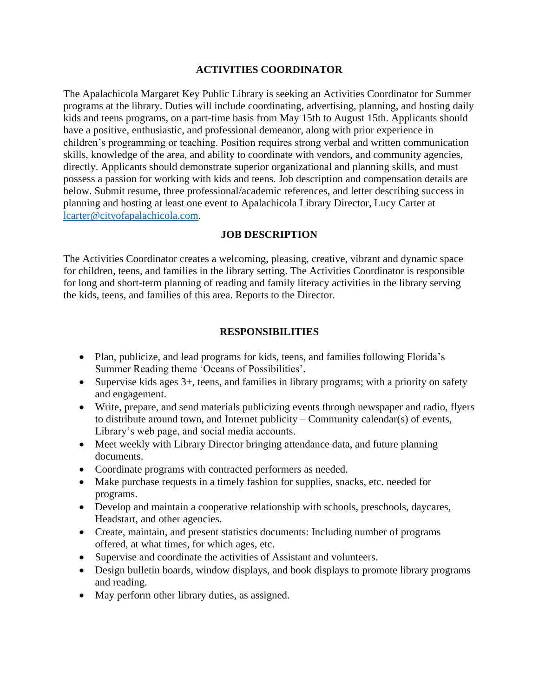### **ACTIVITIES COORDINATOR**

The Apalachicola Margaret Key Public Library is seeking an Activities Coordinator for Summer programs at the library. Duties will include coordinating, advertising, planning, and hosting daily kids and teens programs, on a part-time basis from May 15th to August 15th. Applicants should have a positive, enthusiastic, and professional demeanor, along with prior experience in children's programming or teaching. Position requires strong verbal and written communication skills, knowledge of the area, and ability to coordinate with vendors, and community agencies, directly. Applicants should demonstrate superior organizational and planning skills, and must possess a passion for working with kids and teens. Job description and compensation details are below. Submit resume, three professional/academic references, and letter describing success in planning and hosting at least one event to Apalachicola Library Director, Lucy Carter at [lcarter@cityofapalachicola.com.](mailto:lcarter@cityofapalachicola.com)

### **JOB DESCRIPTION**

The Activities Coordinator creates a welcoming, pleasing, creative, vibrant and dynamic space for children, teens, and families in the library setting. The Activities Coordinator is responsible for long and short-term planning of reading and family literacy activities in the library serving the kids, teens, and families of this area. Reports to the Director.

### **RESPONSIBILITIES**

- Plan, publicize, and lead programs for kids, teens, and families following Florida's Summer Reading theme 'Oceans of Possibilities'.
- Supervise kids ages 3+, teens, and families in library programs; with a priority on safety and engagement.
- Write, prepare, and send materials publicizing events through newspaper and radio, flyers to distribute around town, and Internet publicity – Community calendar(s) of events, Library's web page, and social media accounts.
- Meet weekly with Library Director bringing attendance data, and future planning documents.
- Coordinate programs with contracted performers as needed.
- Make purchase requests in a timely fashion for supplies, snacks, etc. needed for programs.
- Develop and maintain a cooperative relationship with schools, preschools, daycares, Headstart, and other agencies.
- Create, maintain, and present statistics documents: Including number of programs offered, at what times, for which ages, etc.
- Supervise and coordinate the activities of Assistant and volunteers.
- Design bulletin boards, window displays, and book displays to promote library programs and reading.
- May perform other library duties, as assigned.